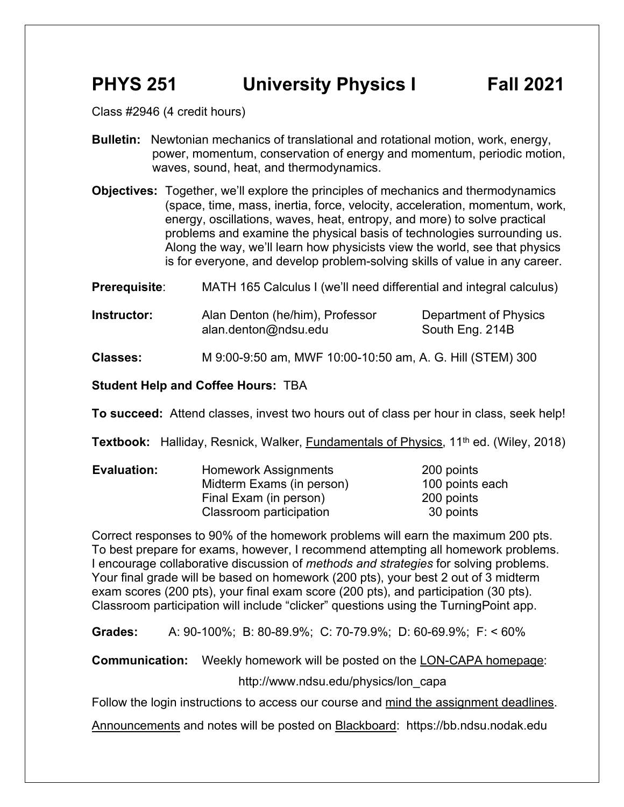# **PHYS 251 University Physics I Fall 2021**

Class #2946 (4 credit hours)

- **Bulletin:** Newtonian mechanics of translational and rotational motion, work, energy, power, momentum, conservation of energy and momentum, periodic motion, waves, sound, heat, and thermodynamics.
- **Objectives:** Together, we'll explore the principles of mechanics and thermodynamics (space, time, mass, inertia, force, velocity, acceleration, momentum, work, energy, oscillations, waves, heat, entropy, and more) to solve practical problems and examine the physical basis of technologies surrounding us. Along the way, we'll learn how physicists view the world, see that physics is for everyone, and develop problem-solving skills of value in any career.

**Prerequisite:** MATH 165 Calculus I (we'll need differential and integral calculus)

**Instructor:** Alan Denton (he/him), Professor Department of Physics alan.denton@ndsu.edu South Eng. 214B

**Classes:** M 9:00-9:50 am, MWF 10:00-10:50 am, A. G. Hill (STEM) 300

#### **Student Help and Coffee Hours:** TBA

**To succeed:** Attend classes, invest two hours out of class per hour in class, seek help!

Textbook: Halliday, Resnick, Walker, **Fundamentals of Physics**, 11<sup>th</sup> ed. (Wiley, 2018)

| <b>Evaluation:</b> | Homework Assignments      | 200 points      |
|--------------------|---------------------------|-----------------|
|                    | Midterm Exams (in person) | 100 points each |
|                    | Final Exam (in person)    | 200 points      |
|                    | Classroom participation   | 30 points       |

Correct responses to 90% of the homework problems will earn the maximum 200 pts. To best prepare for exams, however, I recommend attempting all homework problems. I encourage collaborative discussion of *methods and strategies* for solving problems. Your final grade will be based on homework (200 pts), your best 2 out of 3 midterm exam scores (200 pts), your final exam score (200 pts), and participation (30 pts). Classroom participation will include "clicker" questions using the TurningPoint app.

**Grades:** A: 90-100%; B: 80-89.9%; C: 70-79.9%; D: 60-69.9%; F: < 60%

**Communication:** Weekly homework will be posted on the LON-CAPA homepage:

http://www.ndsu.edu/physics/lon\_capa

Follow the login instructions to access our course and mind the assignment deadlines.

Announcements and notes will be posted on Blackboard: https://bb.ndsu.nodak.edu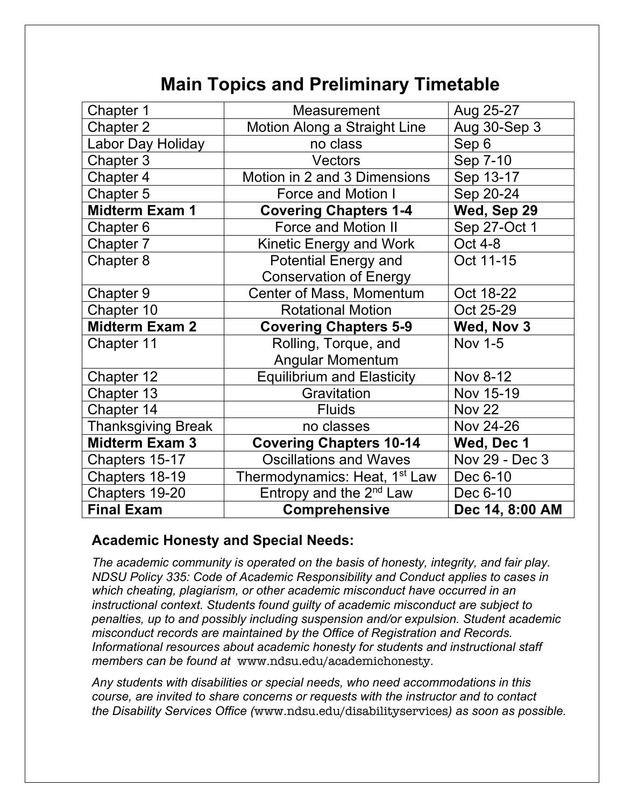# **Main Topics and Preliminary Timetable**

| Chapter 1                 | <b>Measurement</b>                        | Aug 25-27       |
|---------------------------|-------------------------------------------|-----------------|
| Chapter 2                 | Motion Along a Straight Line              | Aug 30-Sep 3    |
| Labor Day Holiday         | no class                                  | Sep 6           |
| Chapter 3                 | Vectors                                   | Sep 7-10        |
| Chapter 4                 | Motion in 2 and 3 Dimensions              | Sep 13-17       |
| Chapter 5                 | <b>Force and Motion I</b>                 | Sep 20-24       |
| <b>Midterm Exam 1</b>     | <b>Covering Chapters 1-4</b>              | Wed, Sep 29     |
| Chapter 6                 | <b>Force and Motion II</b>                | Sep 27-Oct 1    |
| Chapter 7                 | Kinetic Energy and Work                   | Oct 4-8         |
| Chapter 8                 | <b>Potential Energy and</b>               | Oct 11-15       |
|                           | <b>Conservation of Energy</b>             |                 |
| Chapter 9                 | Center of Mass, Momentum                  | Oct 18-22       |
| Chapter 10                | <b>Rotational Motion</b>                  | Oct 25-29       |
| <b>Midterm Exam 2</b>     | <b>Covering Chapters 5-9</b>              | Wed, Nov 3      |
| Chapter 11                | Rolling, Torque, and                      | <b>Nov 1-5</b>  |
|                           | <b>Angular Momentum</b>                   |                 |
| Chapter 12                | <b>Equilibrium and Elasticity</b>         | Nov 8-12        |
| Chapter 13                | Gravitation                               | Nov 15-19       |
| Chapter 14                | <b>Fluids</b>                             | <b>Nov 22</b>   |
| <b>Thanksgiving Break</b> | no classes                                | Nov 24-26       |
| <b>Midterm Exam 3</b>     | <b>Covering Chapters 10-14</b>            | Wed, Dec 1      |
| Chapters 15-17            | <b>Oscillations and Waves</b>             | Nov 29 - Dec 3  |
| Chapters 18-19            | Thermodynamics: Heat, 1 <sup>st</sup> Law | Dec 6-10        |
| Chapters 19-20            | Entropy and the $2^{nd}$ Law              | Dec 6-10        |
| <b>Final Exam</b>         | <b>Comprehensive</b>                      | Dec 14, 8:00 AM |

# **Academic Honesty and Special Needs:**

*The academic community is operated on the basis of honesty, integrity, and fair play. NDSU Policy 335: Code of Academic Responsibility and Conduct applies to cases in which cheating, plagiarism, or other academic misconduct have occurred in an instructional context. Students found guilty of academic misconduct are subject to penalties, up to and possibly including suspension and/or expulsion. Student academic misconduct records are maintained by the Office of Registration and Records. Informational resources about academic honesty for students and instructional staff members can be found at* www.ndsu.edu/academichonesty*.*

*Any students with disabilities or special needs, who need accommodations in this course, are invited to share concerns or requests with the instructor and to contact the Disability Services Office (*www.ndsu.edu/disabilityservices*) as soon as possible.*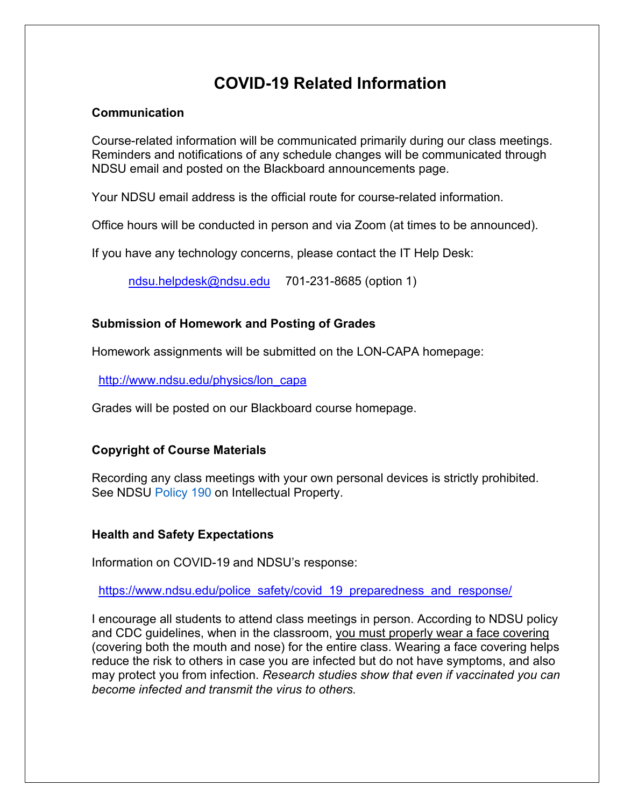# **COVID-19 Related Information**

## **Communication**

Course-related information will be communicated primarily during our class meetings. Reminders and notifications of any schedule changes will be communicated through NDSU email and posted on the Blackboard announcements page.

Your NDSU email address is the official route for course-related information.

Office hours will be conducted in person and via Zoom (at times to be announced).

If you have any technology concerns, please contact the IT Help Desk:

ndsu.helpdesk@ndsu.edu 701-231-8685 (option 1)

# **Submission of Homework and Posting of Grades**

Homework assignments will be submitted on the LON-CAPA homepage:

http://www.ndsu.edu/physics/lon\_capa

Grades will be posted on our Blackboard course homepage.

# **Copyright of Course Materials**

Recording any class meetings with your own personal devices is strictly prohibited. See NDSU Policy 190 on Intellectual Property.

# **Health and Safety Expectations**

Information on COVID-19 and NDSU's response:

https://www.ndsu.edu/police\_safety/covid\_19\_preparedness\_and\_response/

I encourage all students to attend class meetings in person. According to NDSU policy and CDC guidelines, when in the classroom, you must properly wear a face covering (covering both the mouth and nose) for the entire class. Wearing a face covering helps reduce the risk to others in case you are infected but do not have symptoms, and also may protect you from infection. *Research studies show that even if vaccinated you can become infected and transmit the virus to others.*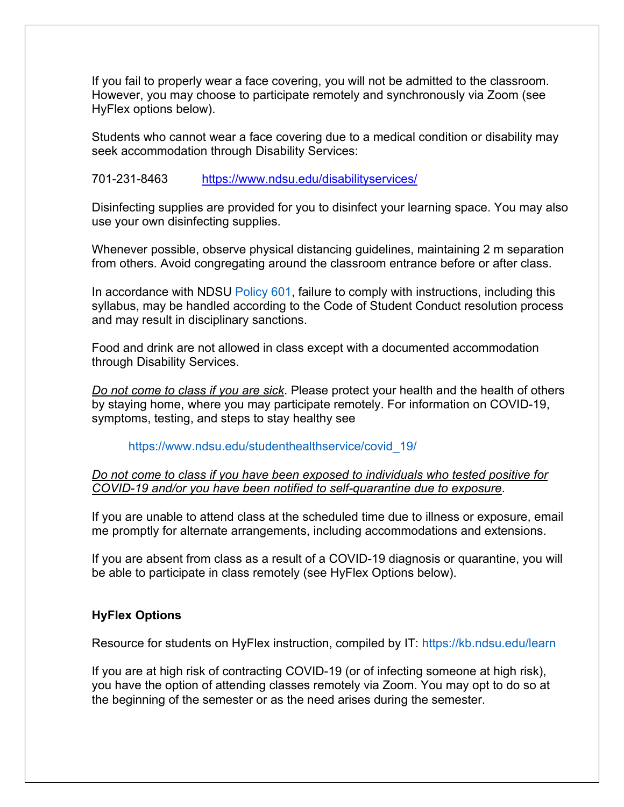If you fail to properly wear a face covering, you will not be admitted to the classroom. However, you may choose to participate remotely and synchronously via Zoom (see HyFlex options below).

Students who cannot wear a face covering due to a medical condition or disability may seek accommodation through Disability Services:

### 701-231-8463 https://www.ndsu.edu/disabilityservices/

Disinfecting supplies are provided for you to disinfect your learning space. You may also use your own disinfecting supplies.

Whenever possible, observe physical distancing guidelines, maintaining 2 m separation from others. Avoid congregating around the classroom entrance before or after class.

In accordance with NDSU Policy 601, failure to comply with instructions, including this syllabus, may be handled according to the Code of Student Conduct resolution process and may result in disciplinary sanctions.

Food and drink are not allowed in class except with a documented accommodation through Disability Services.

*Do not come to class if you are sick*. Please protect your health and the health of others by staying home, where you may participate remotely. For information on COVID-19, symptoms, testing, and steps to stay healthy see

#### https://www.ndsu.edu/studenthealthservice/covid\_19/

*Do not come to class if you have been exposed to individuals who tested positive for COVID-19 and/or you have been notified to self-quarantine due to exposure*.

If you are unable to attend class at the scheduled time due to illness or exposure, email me promptly for alternate arrangements, including accommodations and extensions.

If you are absent from class as a result of a COVID-19 diagnosis or quarantine, you will be able to participate in class remotely (see HyFlex Options below).

### **HyFlex Options**

Resource for students on HyFlex instruction, compiled by IT: https://kb.ndsu.edu/learn

If you are at high risk of contracting COVID-19 (or of infecting someone at high risk), you have the option of attending classes remotely via Zoom. You may opt to do so at the beginning of the semester or as the need arises during the semester.